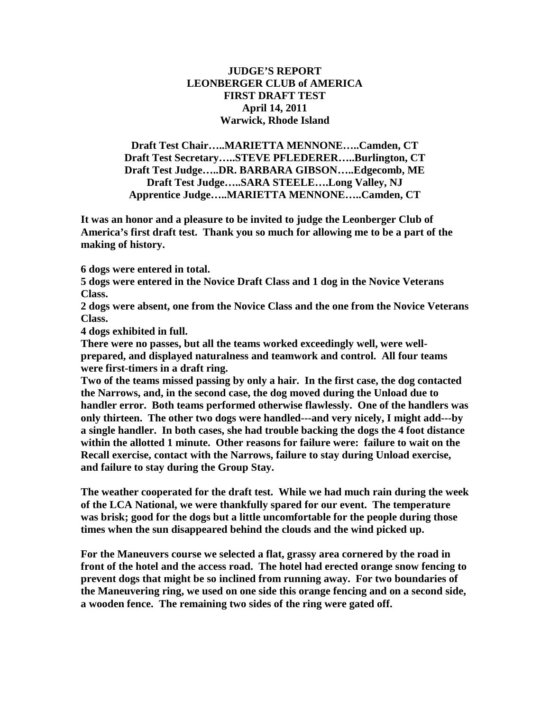## **JUDGE'S REPORT LEONBERGER CLUB of AMERICA FIRST DRAFT TEST April 14, 2011 Warwick, Rhode Island**

**Draft Test Chair…..MARIETTA MENNONE…..Camden, CT Draft Test Secretary…..STEVE PFLEDERER…..Burlington, CT Draft Test Judge…..DR. BARBARA GIBSON…..Edgecomb, ME Draft Test Judge…..SARA STEELE….Long Valley, NJ Apprentice Judge…..MARIETTA MENNONE…..Camden, CT**

**It was an honor and a pleasure to be invited to judge the Leonberger Club of America's first draft test. Thank you so much for allowing me to be a part of the making of history.**

**6 dogs were entered in total.**

**5 dogs were entered in the Novice Draft Class and 1 dog in the Novice Veterans Class.** 

**2 dogs were absent, one from the Novice Class and the one from the Novice Veterans Class.**

**4 dogs exhibited in full.**

**There were no passes, but all the teams worked exceedingly well, were wellprepared, and displayed naturalness and teamwork and control. All four teams were first-timers in a draft ring.** 

**Two of the teams missed passing by only a hair. In the first case, the dog contacted the Narrows, and, in the second case, the dog moved during the Unload due to handler error. Both teams performed otherwise flawlessly. One of the handlers was only thirteen. The other two dogs were handled---and very nicely, I might add---by a single handler. In both cases, she had trouble backing the dogs the 4 foot distance within the allotted 1 minute. Other reasons for failure were: failure to wait on the Recall exercise, contact with the Narrows, failure to stay during Unload exercise, and failure to stay during the Group Stay.**

**The weather cooperated for the draft test. While we had much rain during the week of the LCA National, we were thankfully spared for our event. The temperature was brisk; good for the dogs but a little uncomfortable for the people during those times when the sun disappeared behind the clouds and the wind picked up.**

**For the Maneuvers course we selected a flat, grassy area cornered by the road in front of the hotel and the access road. The hotel had erected orange snow fencing to prevent dogs that might be so inclined from running away. For two boundaries of the Maneuvering ring, we used on one side this orange fencing and on a second side, a wooden fence. The remaining two sides of the ring were gated off.**